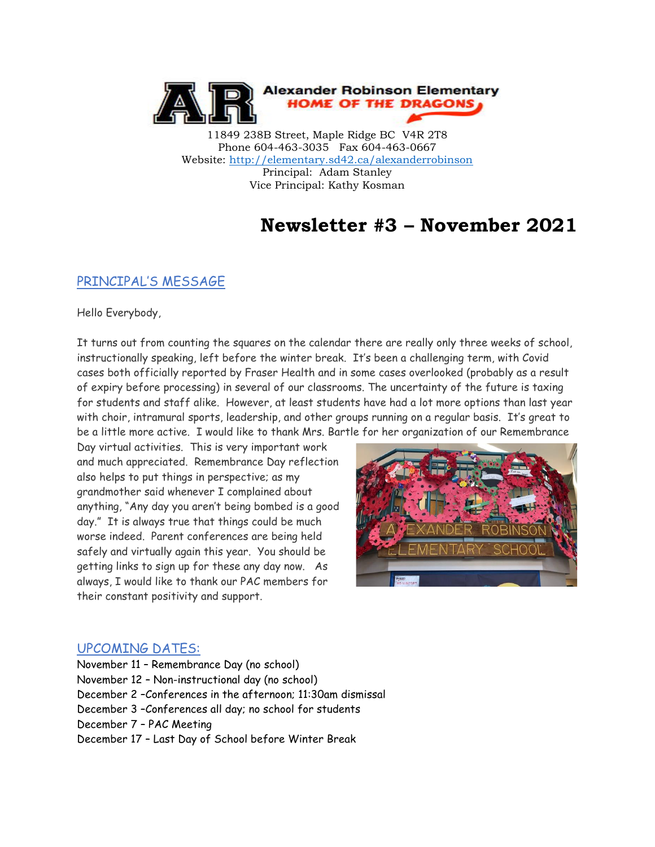

11849 238B Street, Maple Ridge BC V4R 2T8 Phone 604-463-3035 Fax 604-463-0667 Website:<http://elementary.sd42.ca/alexanderrobinson> Principal: Adam Stanley Vice Principal: Kathy Kosman

# **Newsletter #3 – November 2021**

## PRINCIPAL'S MESSAGE

Hello Everybody,

It turns out from counting the squares on the calendar there are really only three weeks of school, instructionally speaking, left before the winter break. It's been a challenging term, with Covid cases both officially reported by Fraser Health and in some cases overlooked (probably as a result of expiry before processing) in several of our classrooms. The uncertainty of the future is taxing for students and staff alike. However, at least students have had a lot more options than last year with choir, intramural sports, leadership, and other groups running on a regular basis. It's great to be a little more active. I would like to thank Mrs. Bartle for her organization of our Remembrance

Day virtual activities. This is very important work and much appreciated. Remembrance Day reflection also helps to put things in perspective; as my grandmother said whenever I complained about anything, "Any day you aren't being bombed is a good day." It is always true that things could be much worse indeed. Parent conferences are being held safely and virtually again this year. You should be getting links to sign up for these any day now. As always, I would like to thank our PAC members for their constant positivity and support.



### UPCOMING DATES:

November 11 – Remembrance Day (no school) November 12 – Non-instructional day (no school) December 2 –Conferences in the afternoon; 11:30am dismissal December 3 –Conferences all day; no school for students December 7 – PAC Meeting December 17 – Last Day of School before Winter Break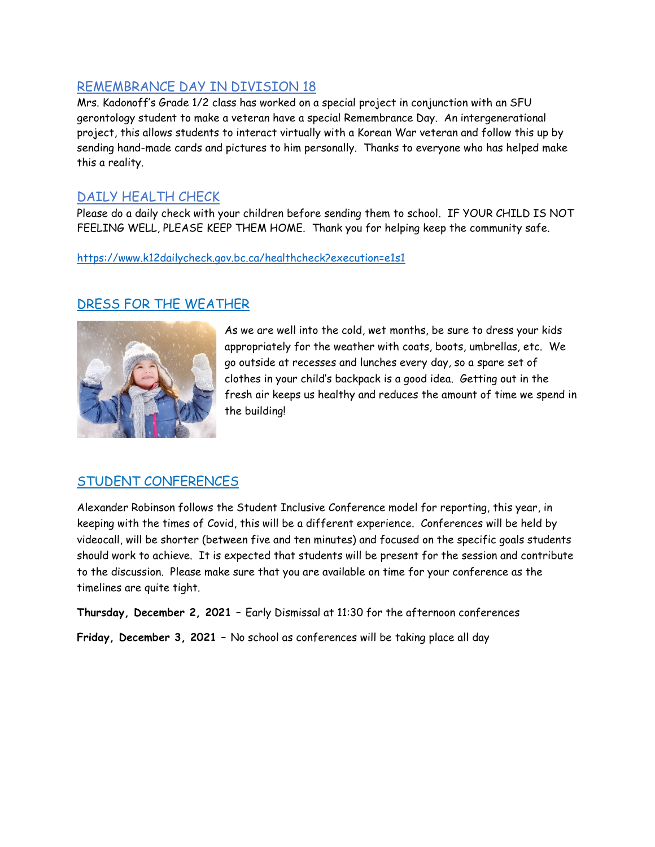## REMEMBRANCE DAY IN DIVISION 18

Mrs. Kadonoff's Grade 1/2 class has worked on a special project in conjunction with an SFU gerontology student to make a veteran have a special Remembrance Day. An intergenerational project, this allows students to interact virtually with a Korean War veteran and follow this up by sending hand-made cards and pictures to him personally. Thanks to everyone who has helped make this a reality.

# DAILY HEALTH CHECK

Please do a daily check with your children before sending them to school. IF YOUR CHILD IS NOT FEELING WELL, PLEASE KEEP THEM HOME. Thank you for helping keep the community safe.

#### <https://www.k12dailycheck.gov.bc.ca/healthcheck?execution=e1s1>

# DRESS FOR THE WEATHER



As we are well into the cold, wet months, be sure to dress your kids appropriately for the weather with coats, boots, umbrellas, etc. We go outside at recesses and lunches every day, so a spare set of clothes in your child's backpack is a good idea. Getting out in the fresh air keeps us healthy and reduces the amount of time we spend in the building!

# STUDENT CONFERENCES

Alexander Robinson follows the Student Inclusive Conference model for reporting, this year, in keeping with the times of Covid, this will be a different experience. Conferences will be held by videocall, will be shorter (between five and ten minutes) and focused on the specific goals students should work to achieve. It is expected that students will be present for the session and contribute to the discussion. Please make sure that you are available on time for your conference as the timelines are quite tight.

**Thursday, December 2, 2021 –** Early Dismissal at 11:30 for the afternoon conferences

**Friday, December 3, 2021 –** No school as conferences will be taking place all day